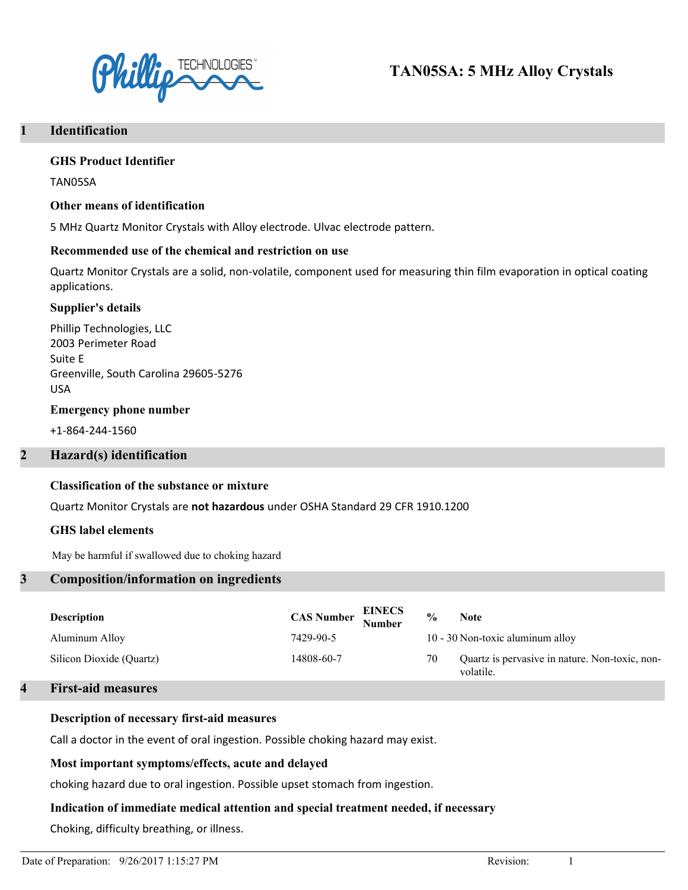

# **TAN05SA: 5 MHz Alloy Crystals**

# **1 Identification**

#### **GHS Product Identifier**

TAN05SA

#### **Other means of identification**

5 MHz Quartz Monitor Crystals with Alloy electrode. Ulvac electrode pattern.

#### **Recommended use of the chemical and restriction on use**

Quartz Monitor Crystals are a solid, non-volatile, component used for measuring thin film evaporation in optical coating applications.

#### **Supplier's details**

Phillip Technologies, LLC 2003 Perimeter Road Suite E Greenville, South Carolina 29605-5276 USA

#### **Emergency phone number**

+1-864-244-1560

# **2 Hazard(s) identification**

#### **Classification of the substance or mixture**

Quartz Monitor Crystals are **not hazardous** under OSHA Standard 29 CFR 1910.1200

#### **GHS label elements**

May be harmful if swallowed due to choking hazard

# **3 Composition/information on ingredients**

| <b>Description</b>       | <b>CAS Number EINECS</b><br>Number | $\frac{0}{0}$<br><b>Note</b>                                      |
|--------------------------|------------------------------------|-------------------------------------------------------------------|
| Aluminum Alloy           | 7429-90-5                          | 10 - 30 Non-toxic aluminum alloy                                  |
| Silicon Dioxide (Quartz) | 14808-60-7                         | Quartz is pervasive in nature. Non-toxic, non-<br>70<br>volatile. |

#### **4 First-aid measures**

#### **Description of necessary first-aid measures**

Call a doctor in the event of oral ingestion. Possible choking hazard may exist.

# **Most important symptoms/effects, acute and delayed**

choking hazard due to oral ingestion. Possible upset stomach from ingestion.

# **Indication of immediate medical attention and special treatment needed, if necessary**

Choking, difficulty breathing, or illness.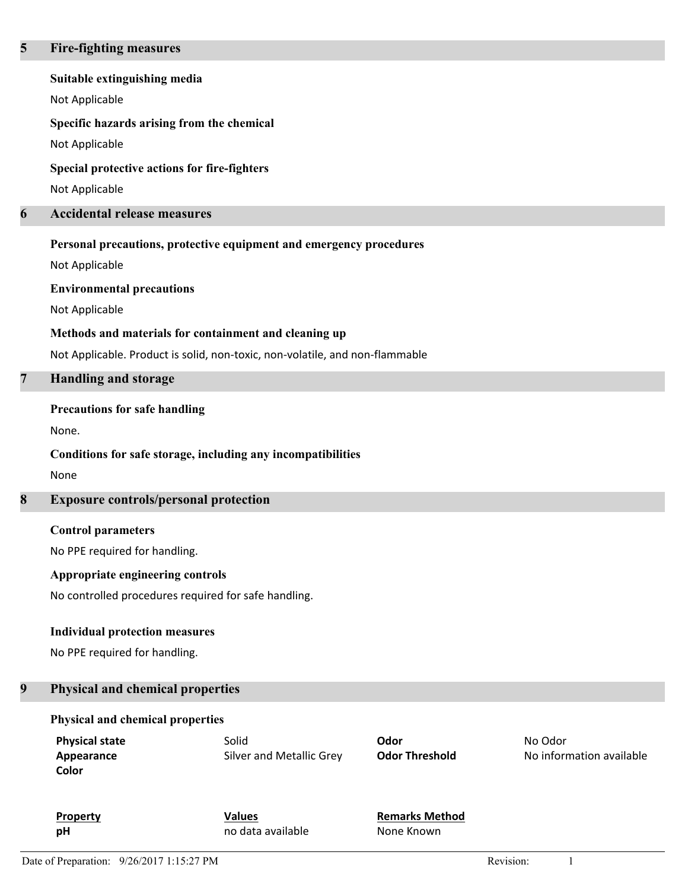#### **5 Fire-fighting measures**

#### **Suitable extinguishing media**

Not Applicable

# **Specific hazards arising from the chemical**

Not Applicable

### **Special protective actions for fire-fighters**

Not Applicable

# **6 Accidental release measures**

#### **Personal precautions, protective equipment and emergency procedures**

Not Applicable

# **Environmental precautions**

Not Applicable

# **Methods and materials for containment and cleaning up**

Not Applicable. Product is solid, non-toxic, non-volatile, and non-flammable

# **7 Handling and storage**

# **Precautions for safe handling**

None.

# **Conditions for safe storage, including any incompatibilities**

None

# **8 Exposure controls/personal protection**

# **Control parameters**

No PPE required for handling.

# **Appropriate engineering controls**

No controlled procedures required for safe handling.

#### **Individual protection measures**

No PPE required for handling.

# **9 Physical and chemical properties**

# **Physical and chemical properties**

| <b>Physical state</b> | Solid                    | Odor                  | No Odor                  |
|-----------------------|--------------------------|-----------------------|--------------------------|
| Appearance            | Silver and Metallic Grey | <b>Odor Threshold</b> | No information available |
| Color                 |                          |                       |                          |

**Property Values Remarks Method pH** no data available None Known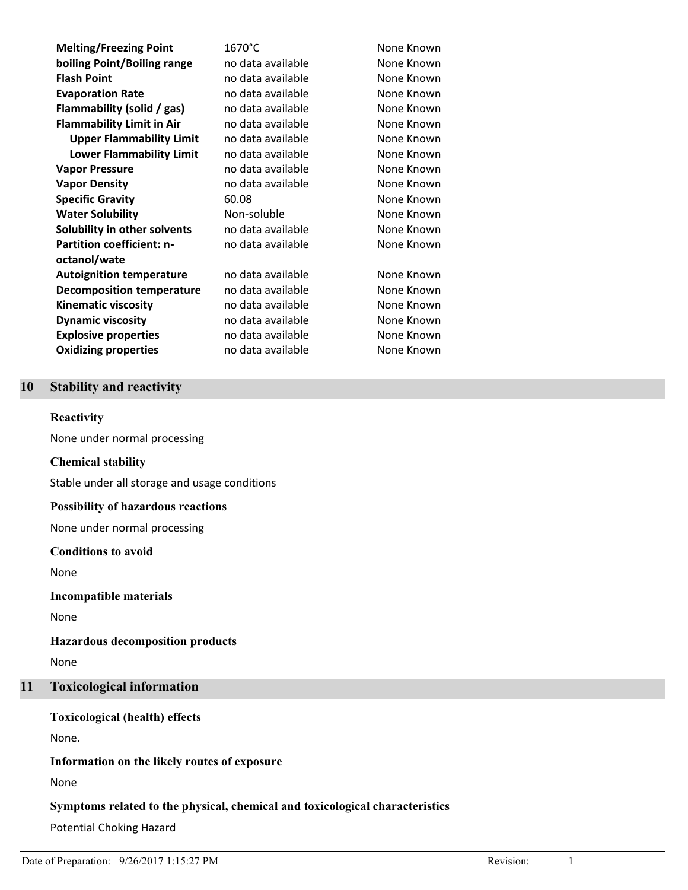**Melting/Freezing Point** 1670°C None Known **boiling Point/Boiling range** no data available None Known **Flash Point Compared Example 2018 None Known Plash Point Evaporation Rate Rate Rate no data available None Known Flammability (solid / gas)** no data available None Known **Flammability Limit in Air** no data available Mone Known **Upper Flammability Limit** no data available Mone Known **Lower Flammability Limit** no data available Mone Known **Vapor Pressure None Known Vapor Pressure None Known Vapor Density None Known Vapor Density None Known Specific Gravity** 60.08 None Known **Water Solubility Non-soluble None Known Solubility in other solvents** no data available None Known **Partition coefficient: noctanol/wate Autoignition temperature** and data available and the None Known **Decomposition temperature** no data available Mone Known **Kinematic viscosity** no data available None Known **Dynamic viscosity vices in the Cone Cone Cone And Area Cone Cone Cone Cone Cone Known Explosive properties** no data available **None Known Oxidizing properties** no data available Mone Known

no data available **None Known** 

# **10 Stability and reactivity**

#### **Reactivity**

None under normal processing

#### **Chemical stability**

Stable under all storage and usage conditions

#### **Possibility of hazardous reactions**

None under normal processing

#### **Conditions to avoid**

None

#### **Incompatible materials**

None

#### **Hazardous decomposition products**

None

# **11 Toxicological information**

**Toxicological (health) effects**

None.

# **Information on the likely routes of exposure**

None

# **Symptoms related to the physical, chemical and toxicological characteristics**

Potential Choking Hazard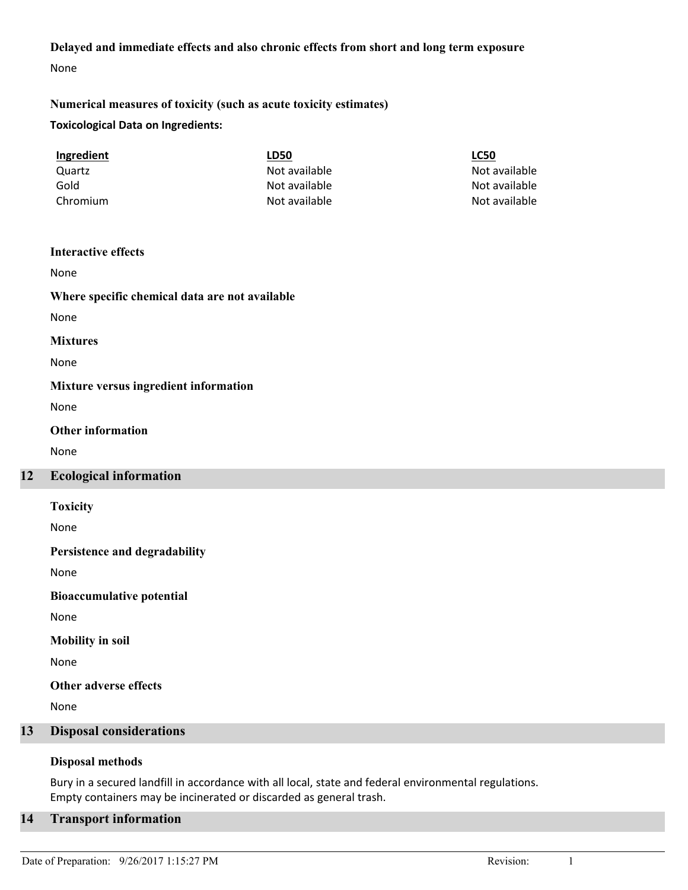# **Delayed and immediate effects and also chronic effects from short and long term exposure**

None

# **Toxicological Data on Ingredients: Numerical measures of toxicity (such as acute toxicity estimates)**

| Ingredient | LD50          | <b>LC50</b>   |
|------------|---------------|---------------|
| Quartz     | Not available | Not available |
| Gold       | Not available | Not available |
| Chromium   | Not available | Not available |

#### **Interactive effects**

None

# **Where specific chemical data are not available**

None

#### **Mixtures**

None

# **Mixture versus ingredient information**

None

# **Other information**

None

# **12 Ecological information**

**Toxicity**

None

# **Persistence and degradability**

None

**Bioaccumulative potential**

None

# **Mobility in soil**

None

**Other adverse effects**

None

# **13 Disposal considerations**

# **Disposal methods**

Bury in a secured landfill in accordance with all local, state and federal environmental regulations. Empty containers may be incinerated or discarded as general trash.

# **14 Transport information**